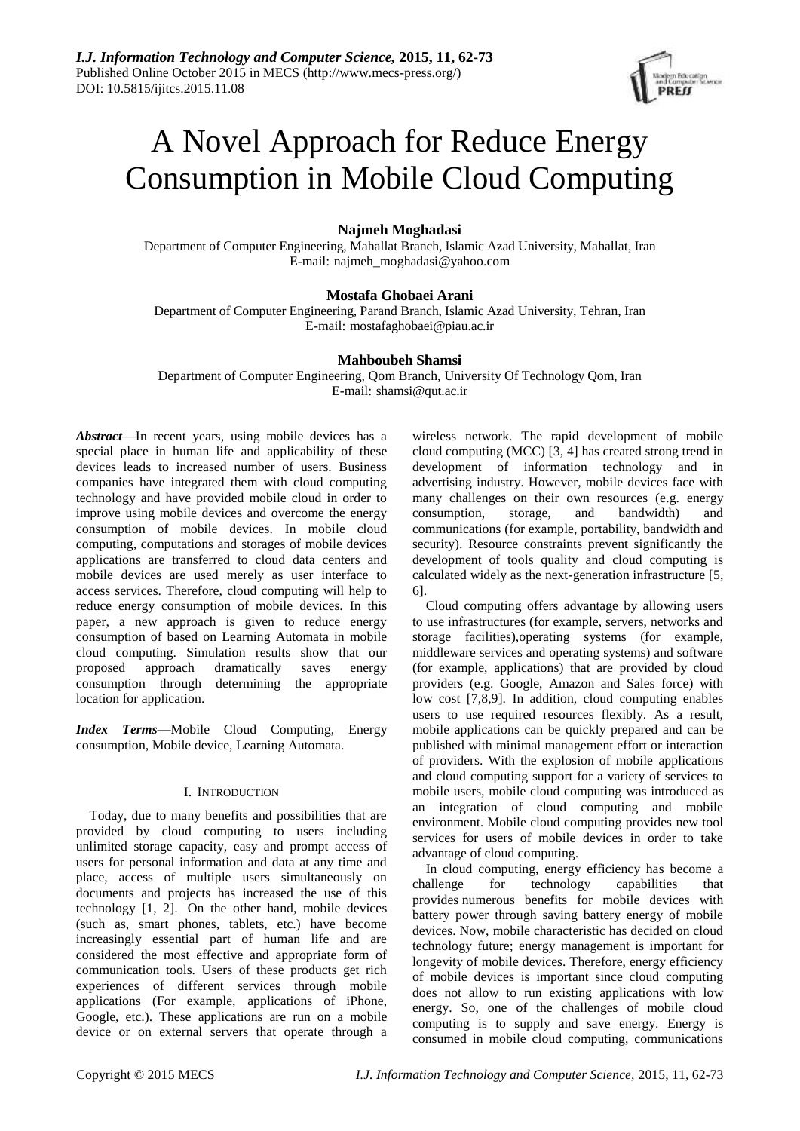

# A Novel Approach for Reduce Energy Consumption in Mobile Cloud Computing

# **Najmeh Moghadasi**

Department of Computer Engineering, Mahallat Branch, Islamic Azad University, Mahallat, Iran E-mail: najmeh\_moghadasi@yahoo.com

# **Mostafa Ghobaei Arani**

Department of Computer Engineering, Parand Branch, Islamic Azad University, Tehran, Iran E-mail: mostafaghobaei@piau.ac.ir

## **Mahboubeh Shamsi**

Department of Computer Engineering, Qom Branch, University Of Technology Qom, Iran E-mail: shamsi@qut.ac.ir

*Abstract*—In recent years, using mobile devices has a special place in human life and applicability of these devices leads to increased number of users. Business companies have integrated them with cloud computing technology and have provided mobile cloud in order to improve using mobile devices and overcome the energy consumption of mobile devices. In mobile cloud computing, computations and storages of mobile devices applications are transferred to cloud data centers and mobile devices are used merely as user interface to access services. Therefore, cloud computing will help to reduce energy consumption of mobile devices. In this paper, a new approach is given to reduce energy consumption of based on Learning Automata in mobile cloud computing. Simulation results show that our proposed approach dramatically saves energy consumption through determining the appropriate location for application.

*Index Terms*—Mobile Cloud Computing, Energy consumption, Mobile device, Learning Automata.

## I. INTRODUCTION

Today, due to many benefits and possibilities that are provided by cloud computing to users including unlimited storage capacity, easy and prompt access of users for personal information and data at any time and place, access of multiple users simultaneously on documents and projects has increased the use of this technology [1, 2]. On the other hand, mobile devices (such as, smart phones, tablets, etc.) have become increasingly essential part of human life and are considered the most effective and appropriate form of communication tools. Users of these products get rich experiences of different services through mobile applications (For example, applications of iPhone, Google, etc.). These applications are run on a mobile device or on external servers that operate through a

wireless network. The rapid development of mobile cloud computing (MCC) [3, 4] has created strong trend in development of information technology and in advertising industry. However, mobile devices face with many challenges on their own resources (e.g. energy consumption, storage, and bandwidth) and communications (for example, portability, bandwidth and security). Resource constraints prevent significantly the development of tools quality and cloud computing is calculated widely as the next-generation infrastructure [5, 6].

Cloud computing offers advantage by allowing users to use infrastructures (for example, servers, networks and storage facilities),operating systems (for example, middleware services and operating systems) and software (for example, applications) that are provided by cloud providers (e.g. Google, Amazon and Sales force) with low cost [7,8,9]. In addition, cloud computing enables users to use required resources flexibly. As a result, mobile applications can be quickly prepared and can be published with minimal management effort or interaction of providers. With the explosion of mobile applications and cloud computing support for a variety of services to mobile users, mobile cloud computing was introduced as an integration of cloud computing and mobile environment. Mobile cloud computing provides new tool services for users of mobile devices in order to take advantage of cloud computing.

In cloud computing, energy efficiency has become a challenge for technology capabilities that provides numerous benefits for mobile devices with battery power through saving battery energy of mobile devices. Now, mobile characteristic has decided on cloud technology future; energy management is important for longevity of mobile devices. Therefore, energy efficiency of mobile devices is important since cloud computing does not allow to run existing applications with low energy. So, one of the challenges of mobile cloud computing is to supply and save energy. Energy is consumed in mobile cloud computing, communications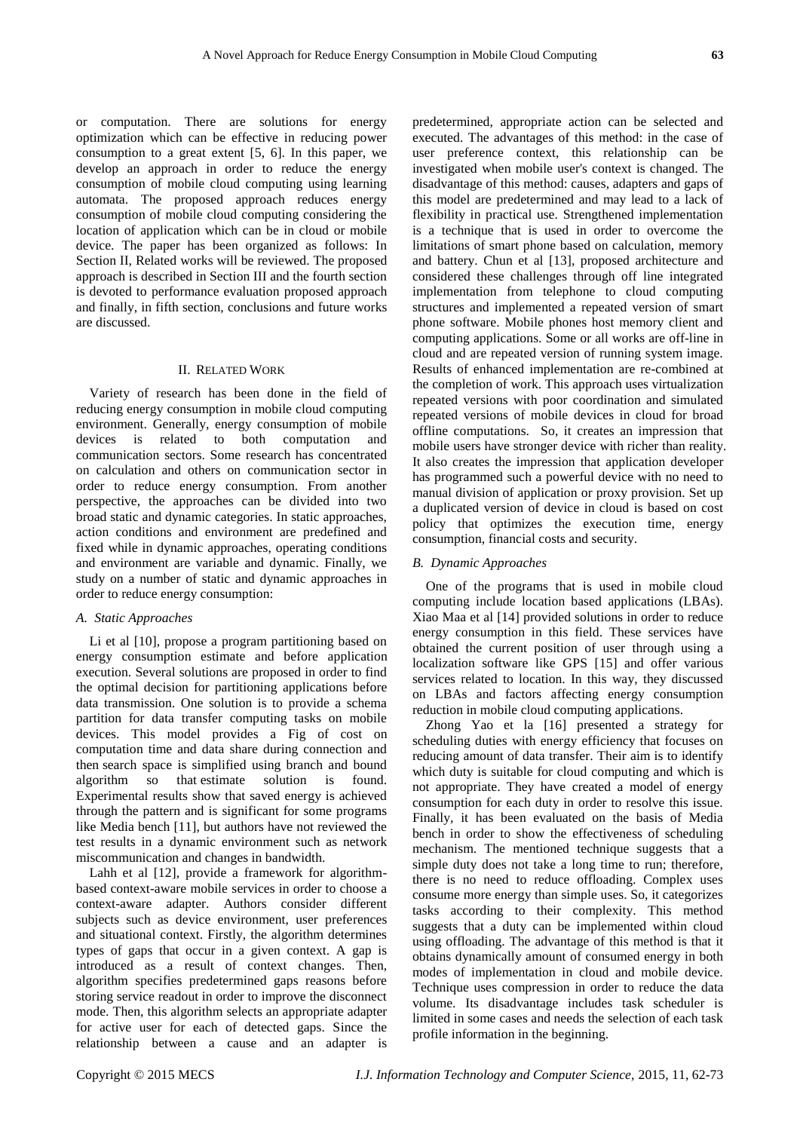or computation. There are solutions for energy optimization which can be effective in reducing power consumption to a great extent [5, 6]. In this paper, we develop an approach in order to reduce the energy consumption of mobile cloud computing using learning automata. The proposed approach reduces energy consumption of mobile cloud computing considering the location of application which can be in cloud or mobile device. The paper has been organized as follows: In Section II, Related works will be reviewed. The proposed approach is described in Section III and the fourth section is devoted to performance evaluation proposed approach and finally, in fifth section, conclusions and future works are discussed.

## II. RELATED WORK

Variety of research has been done in the field of reducing energy consumption in mobile cloud computing environment. Generally, energy consumption of mobile devices is related to both computation and communication sectors. Some research has concentrated on calculation and others on communication sector in order to reduce energy consumption. From another perspective, the approaches can be divided into two broad static and dynamic categories. In static approaches, action conditions and environment are predefined and fixed while in dynamic approaches, operating conditions and environment are variable and dynamic. Finally, we study on a number of static and dynamic approaches in order to reduce energy consumption:

#### *A. Static Approaches*

Li et al [10], propose a program partitioning based on energy consumption estimate and before application execution. Several solutions are proposed in order to find the optimal decision for partitioning applications before data transmission. One solution is to provide a schema partition for data transfer computing tasks on mobile devices. This model provides a Fig of cost on computation time and data share during connection and then search space is simplified using branch and bound algorithm so that estimate solution is found. Experimental results show that saved energy is achieved through the pattern and is significant for some programs like Media bench [11], but authors have not reviewed the test results in a dynamic environment such as network miscommunication and changes in bandwidth.

Lahh et al [12], provide a framework for algorithmbased context-aware mobile services in order to choose a context-aware adapter. Authors consider different subjects such as device environment, user preferences and situational context. Firstly, the algorithm determines types of gaps that occur in a given context. A gap is introduced as a result of context changes. Then, algorithm specifies predetermined gaps reasons before storing service readout in order to improve the disconnect mode. Then, this algorithm selects an appropriate adapter for active user for each of detected gaps. Since the relationship between a cause and an adapter is

predetermined, appropriate action can be selected and executed. The advantages of this method: in the case of user preference context, this relationship can be investigated when mobile user's context is changed. The disadvantage of this method: causes, adapters and gaps of this model are predetermined and may lead to a lack of flexibility in practical use. Strengthened implementation is a technique that is used in order to overcome the limitations of smart phone based on calculation, memory and battery. Chun et al [13], proposed architecture and considered these challenges through off line integrated implementation from telephone to cloud computing structures and implemented a repeated version of smart phone software. Mobile phones host memory client and computing applications. Some or all works are off-line in cloud and are repeated version of running system image. Results of enhanced implementation are re-combined at the completion of work. This approach uses virtualization repeated versions with poor coordination and simulated repeated versions of mobile devices in cloud for broad offline computations. So, it creates an impression that mobile users have stronger device with richer than reality. It also creates the impression that application developer has programmed such a powerful device with no need to manual division of application or proxy provision. Set up a duplicated version of device in cloud is based on cost policy that optimizes the execution time, energy consumption, financial costs and security.

#### *B. Dynamic Approaches*

One of the programs that is used in mobile cloud computing include location based applications (LBAs). Xiao Maa et al [14] provided solutions in order to reduce energy consumption in this field. These services have obtained the current position of user through using a localization software like GPS [15] and offer various services related to location. In this way, they discussed on LBAs and factors affecting energy consumption reduction in mobile cloud computing applications.

Zhong Yao et la [16] presented a strategy for scheduling duties with energy efficiency that focuses on reducing amount of data transfer. Their aim is to identify which duty is suitable for cloud computing and which is not appropriate. They have created a model of energy consumption for each duty in order to resolve this issue. Finally, it has been evaluated on the basis of Media bench in order to show the effectiveness of scheduling mechanism. The mentioned technique suggests that a simple duty does not take a long time to run; therefore, there is no need to reduce offloading. Complex uses consume more energy than simple uses. So, it categorizes tasks according to their complexity. This method suggests that a duty can be implemented within cloud using offloading. The advantage of this method is that it obtains dynamically amount of consumed energy in both modes of implementation in cloud and mobile device. Technique uses compression in order to reduce the data volume. Its disadvantage includes task scheduler is limited in some cases and needs the selection of each task profile information in the beginning.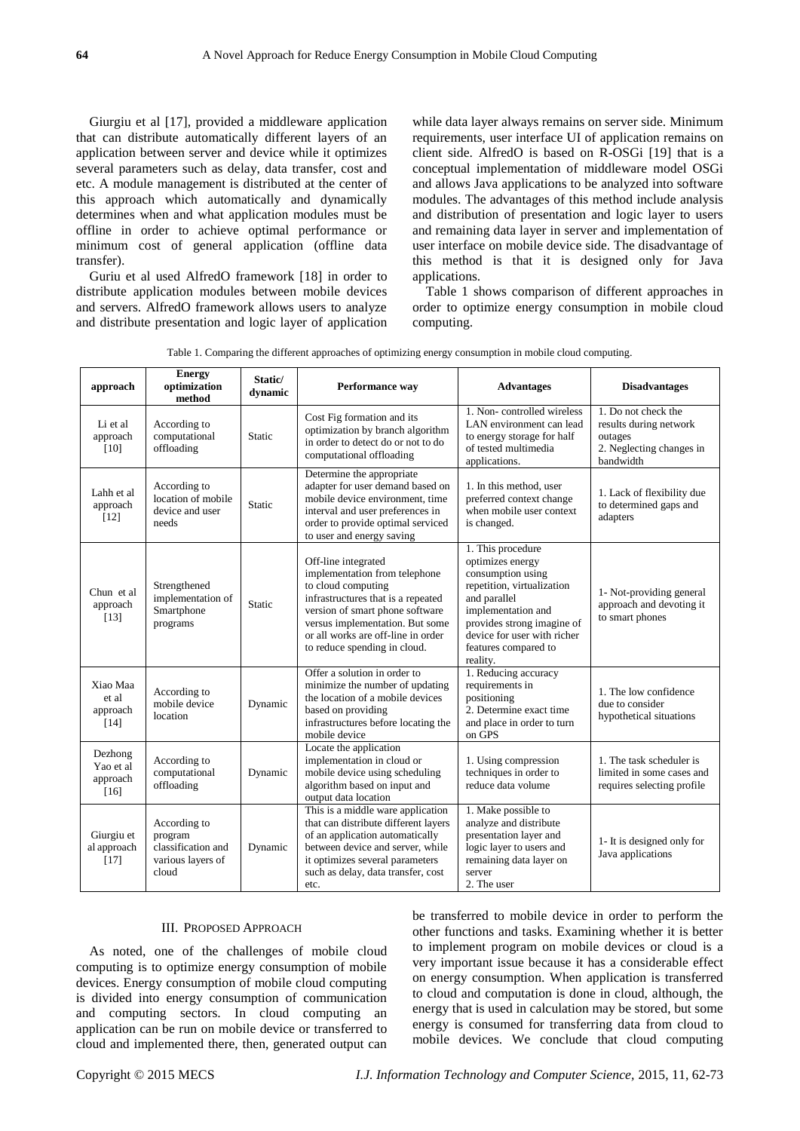Giurgiu et al [17], provided a middleware application that can distribute automatically different layers of an application between server and device while it optimizes several parameters such as delay, data transfer, cost and etc. A module management is distributed at the center of this approach which automatically and dynamically determines when and what application modules must be offline in order to achieve optimal performance or minimum cost of general application (offline data transfer).

Guriu et al used AlfredO framework [18] in order to distribute application modules between mobile devices and servers. AlfredO framework allows users to analyze and distribute presentation and logic layer of application

while data layer always remains on server side. Minimum requirements, user interface UI of application remains on client side. AlfredO is based on R-OSGi [19] that is a conceptual implementation of middleware model OSGi and allows Java applications to be analyzed into software modules. The advantages of this method include analysis and distribution of presentation and logic layer to users and remaining data layer in server and implementation of user interface on mobile device side. The disadvantage of this method is that it is designed only for Java applications.

Table 1 shows comparison of different approaches in order to optimize energy consumption in mobile cloud computing.

|  | Table 1. Comparing the different approaches of optimizing energy consumption in mobile cloud computing. |  |  |  |
|--|---------------------------------------------------------------------------------------------------------|--|--|--|
|  |                                                                                                         |  |  |  |

| approach                                 | <b>Energy</b><br>optimization<br>method                                     | Static/<br>dynamic | Performance way                                                                                                                                                                                                                                              | <b>Advantages</b>                                                                                                                                                                                                               | <b>Disadvantages</b>                                                                              |
|------------------------------------------|-----------------------------------------------------------------------------|--------------------|--------------------------------------------------------------------------------------------------------------------------------------------------------------------------------------------------------------------------------------------------------------|---------------------------------------------------------------------------------------------------------------------------------------------------------------------------------------------------------------------------------|---------------------------------------------------------------------------------------------------|
| Li et al<br>approach<br>[10]             | According to<br>computational<br>offloading                                 | <b>Static</b>      | Cost Fig formation and its<br>optimization by branch algorithm<br>in order to detect do or not to do<br>computational offloading                                                                                                                             | 1. Non-controlled wireless<br>LAN environment can lead<br>to energy storage for half<br>of tested multimedia<br>applications.                                                                                                   | 1. Do not check the<br>results during network<br>outages<br>2. Neglecting changes in<br>bandwidth |
| Lahh et al<br>approach<br>[12]           | According to<br>location of mobile<br>device and user<br>needs              | Static             | Determine the appropriate<br>adapter for user demand based on<br>mobile device environment, time<br>interval and user preferences in<br>order to provide optimal serviced<br>to user and energy saving                                                       | 1. In this method, user<br>preferred context change<br>when mobile user context<br>is changed.                                                                                                                                  | 1. Lack of flexibility due<br>to determined gaps and<br>adapters                                  |
| Chun et al<br>approach<br>[13]           | Strengthened<br>implementation of<br>Smartphone<br>programs                 | <b>Static</b>      | Off-line integrated<br>implementation from telephone<br>to cloud computing<br>infrastructures that is a repeated<br>version of smart phone software<br>versus implementation. But some<br>or all works are off-line in order<br>to reduce spending in cloud. | 1. This procedure<br>optimizes energy<br>consumption using<br>repetition, virtualization<br>and parallel<br>implementation and<br>provides strong imagine of<br>device for user with richer<br>features compared to<br>reality. | 1- Not-providing general<br>approach and devoting it<br>to smart phones                           |
| Xiao Maa<br>et al<br>approach<br>[14]    | According to<br>mobile device<br>location                                   | Dynamic            | Offer a solution in order to<br>minimize the number of updating<br>the location of a mobile devices<br>based on providing<br>infrastructures before locating the<br>mobile device                                                                            | 1. Reducing accuracy<br>requirements in<br>positioning<br>2. Determine exact time<br>and place in order to turn<br>on GPS                                                                                                       | 1. The low confidence<br>due to consider<br>hypothetical situations                               |
| Dezhong<br>Yao et al<br>approach<br>[16] | According to<br>computational<br>offloading                                 | Dynamic            | Locate the application<br>implementation in cloud or<br>mobile device using scheduling<br>algorithm based on input and<br>output data location                                                                                                               | 1. Using compression<br>techniques in order to<br>reduce data volume                                                                                                                                                            | 1. The task scheduler is<br>limited in some cases and<br>requires selecting profile               |
| Giurgiu et<br>al approach<br>$[17]$      | According to<br>program<br>classification and<br>various layers of<br>cloud | Dynamic            | This is a middle ware application<br>that can distribute different layers<br>of an application automatically<br>between device and server, while<br>it optimizes several parameters<br>such as delay, data transfer, cost<br>etc.                            | 1. Make possible to<br>analyze and distribute<br>presentation layer and<br>logic layer to users and<br>remaining data layer on<br>server<br>2. The user                                                                         | 1- It is designed only for<br>Java applications                                                   |

## III. PROPOSED APPROACH

As noted, one of the challenges of mobile cloud computing is to optimize energy consumption of mobile devices. Energy consumption of mobile cloud computing is divided into energy consumption of communication and computing sectors. In cloud computing an application can be run on mobile device or transferred to cloud and implemented there, then, generated output can

be transferred to mobile device in order to perform the other functions and tasks. Examining whether it is better to implement program on mobile devices or cloud is a very important issue because it has a considerable effect on energy consumption. When application is transferred to cloud and computation is done in cloud, although, the energy that is used in calculation may be stored, but some energy is consumed for transferring data from cloud to mobile devices. We conclude that cloud computing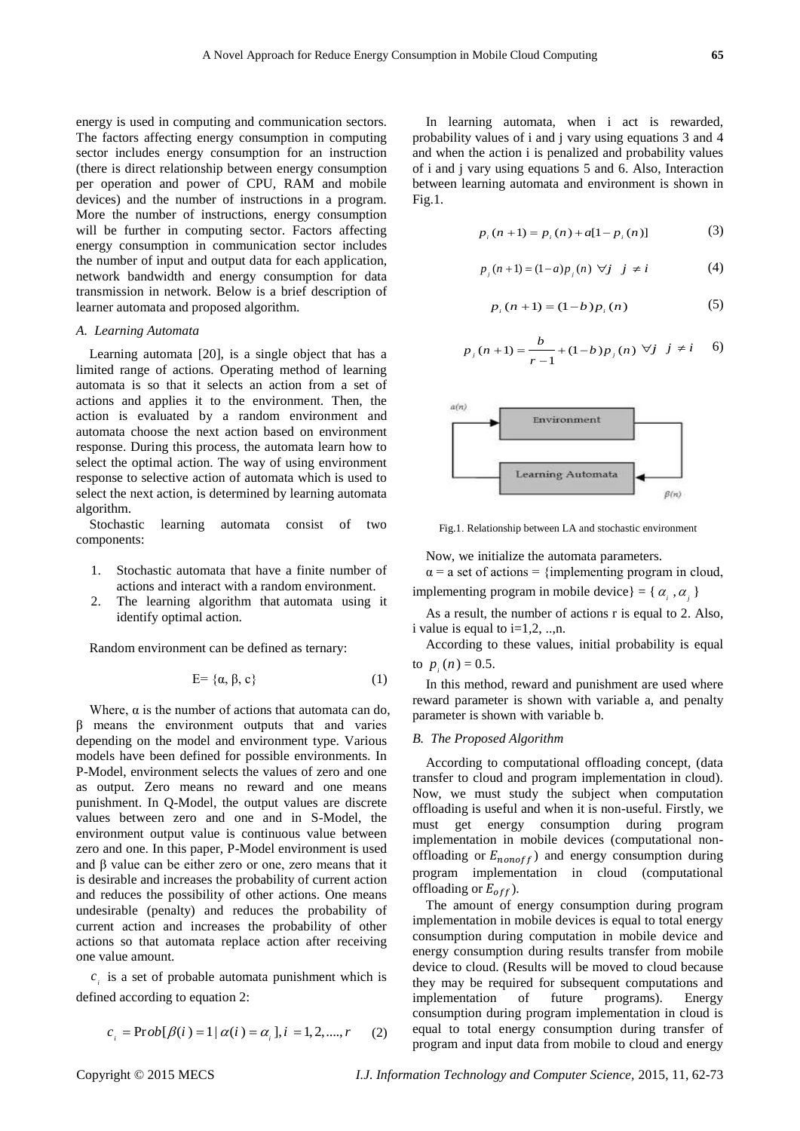energy is used in computing and communication sectors. The factors affecting energy consumption in computing sector includes energy consumption for an instruction (there is direct relationship between energy consumption per operation and power of CPU, RAM and mobile devices) and the number of instructions in a program. More the number of instructions, energy consumption will be further in computing sector. Factors affecting energy consumption in communication sector includes the number of input and output data for each application, network bandwidth and energy consumption for data transmission in network. Below is a brief description of learner automata and proposed algorithm.

## *A. Learning Automata*

Learning automata [20], is a single object that has a limited range of actions. Operating method of learning automata is so that it selects an action from a set of actions and applies it to the environment. Then, the action is evaluated by a random environment and automata choose the next action based on environment response. During this process, the automata learn how to select the optimal action. The way of using environment response to selective action of automata which is used to select the next action, is determined by learning automata algorithm.

Stochastic learning automata consist of two components:

- 1. Stochastic automata that have a finite number of actions and interact with a random environment.
- 2. The learning algorithm that automata using it identify optimal action.

Random environment can be defined as ternary:

$$
E = \{\alpha, \beta, c\} \tag{1}
$$

Where,  $\alpha$  is the number of actions that automata can do, β means the environment outputs that and varies depending on the model and environment type. Various models have been defined for possible environments. In P-Model, environment selects the values of zero and one as output. Zero means no reward and one means punishment. In Q-Model, the output values are discrete values between zero and one and in S-Model, the environment output value is continuous value between zero and one. In this paper, P-Model environment is used and β value can be either zero or one, zero means that it is desirable and increases the probability of current action and reduces the possibility of other actions. One means undesirable (penalty) and reduces the probability of current action and increases the probability of other actions so that automata replace action after receiving one value amount.

 $c_i$  is a set of probable automata punishment which is defined according to equation 2:

$$
c_i = \text{Prob}[\beta(i) = 1 | \alpha(i) = \alpha_i], i = 1, 2, ..., r \quad (2)
$$

In learning automata, when i act is rewarded, probability values of i and j vary using equations 3 and 4 and when the action i is penalized and probability values of i and j vary using equations 5 and 6. Also, Interaction between learning automata and environment is shown in Fig.1.

$$
p_i(n+1) = p_i(n) + a[1 - p_i(n)]
$$
 (3)

$$
p_j(n+1) = (1-a)p_j(n) \; \forall j \; j \neq i
$$
 (4)

$$
p_i(n+1) = (1-b)p_i(n)
$$
 (5)

$$
p_j(n+1) = \frac{b}{r-1} + (1-b)p_j(n) \ \forall j \ j \neq i \quad 6)
$$



Fig.1. Relationship between LA and stochastic environment

Now, we initialize the automata parameters.

 $\alpha$  = a set of actions = {implementing program in cloud, implementing program in mobile device  $\} = \{ \alpha_i, \alpha_j \}$ 

As a result, the number of actions r is equal to 2. Also, i value is equal to  $i=1,2,...,n$ .

According to these values, initial probability is equal to  $p_i(n) = 0.5$ .

In this method, reward and punishment are used where reward parameter is shown with variable a, and penalty parameter is shown with variable b.

#### *B. The Proposed Algorithm*

According to computational offloading concept, (data transfer to cloud and program implementation in cloud). Now, we must study the subject when computation offloading is useful and when it is non-useful. Firstly, we must get energy consumption during program implementation in mobile devices (computational nonoffloading or  $E_{nonoff}$ ) and energy consumption during program implementation in cloud (computational offloading or  $E_{off}$ ).

The amount of energy consumption during program implementation in mobile devices is equal to total energy consumption during computation in mobile device and energy consumption during results transfer from mobile device to cloud. (Results will be moved to cloud because they may be required for subsequent computations and implementation of future programs). Energy consumption during program implementation in cloud is equal to total energy consumption during transfer of program and input data from mobile to cloud and energy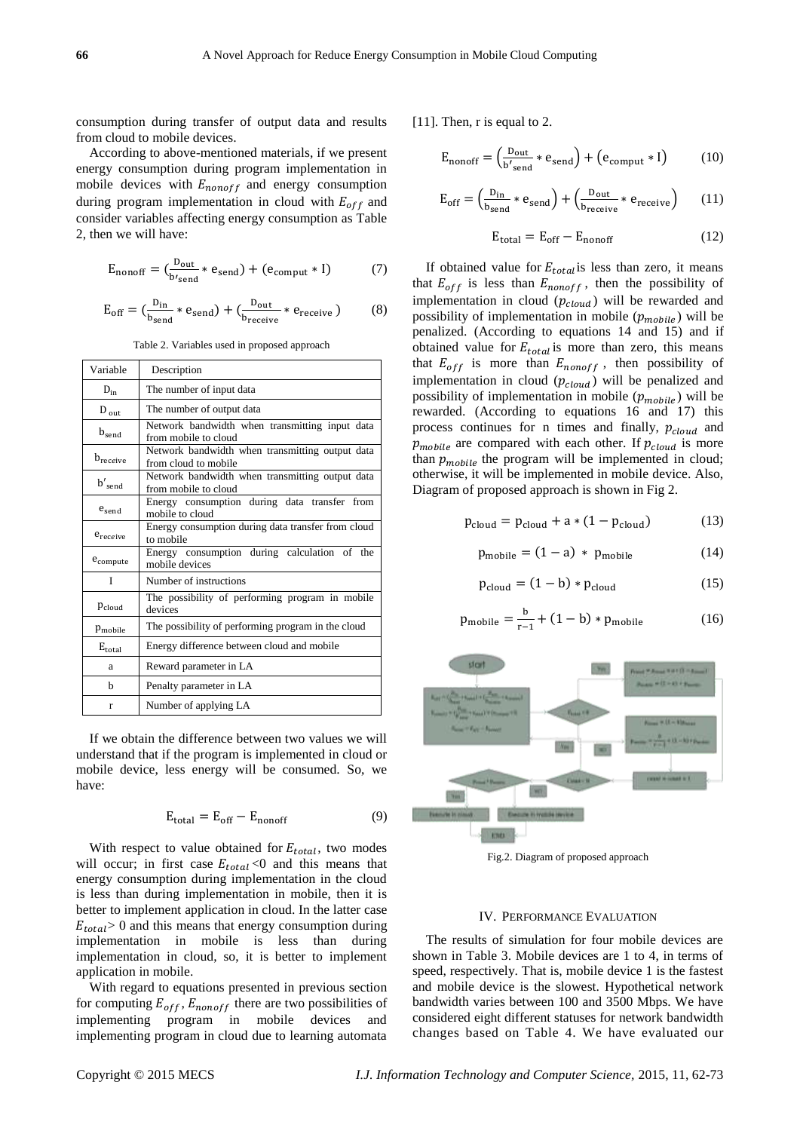consumption during transfer of output data and results from cloud to mobile devices.

According to above-mentioned materials, if we present energy consumption during program implementation in mobile devices with  $E_{nonoff}$  and energy consumption during program implementation in cloud with  $E_{off}$  and consider variables affecting energy consumption as Table 2, then we will have:

$$
E_{\text{nonoff}} = \left(\frac{D_{\text{out}}}{b_{\text{send}}} * e_{\text{send}}\right) + \left(e_{\text{comput}} * I\right) \tag{7}
$$

$$
E_{off} = \left(\frac{D_{in}}{b_{send}} * e_{send}\right) + \left(\frac{D_{out}}{b_{receive}} * e_{receive}\right) \tag{8}
$$

Table 2. Variables used in proposed approach

| Variable             | Description                                                             |
|----------------------|-------------------------------------------------------------------------|
| $D_{in}$             | The number of input data                                                |
| $D_{out}$            | The number of output data                                               |
| $b_{send}$           | Network bandwidth when transmitting input data<br>from mobile to cloud  |
| $b_{receive}$        | Network bandwidth when transmitting output data<br>from cloud to mobile |
| $b'$ <sub>send</sub> | Network bandwidth when transmitting output data<br>from mobile to cloud |
| $e_{send}$           | Energy consumption during data transfer from<br>mobile to cloud         |
| $e_{receiver}$       | Energy consumption during data transfer from cloud<br>to mobile         |
| $e_{\rm compute}$    | Energy consumption during calculation of the<br>mobile devices          |
| $\mathbf{I}$         | Number of instructions                                                  |
| $p_{cloud}$          | The possibility of performing program in mobile<br>devices              |
| $p_{\text{mobile}}$  | The possibility of performing program in the cloud                      |
| $E_{\rm total}$      | Energy difference between cloud and mobile                              |
| a                    | Reward parameter in LA                                                  |
| h                    | Penalty parameter in LA                                                 |
| r                    | Number of applying LA                                                   |

If we obtain the difference between two values we will understand that if the program is implemented in cloud or mobile device, less energy will be consumed. So, we have:

$$
E_{\text{total}} = E_{\text{off}} - E_{\text{nonoff}} \tag{9}
$$

With respect to value obtained for  $E_{total}$ , two modes will occur; in first case  $E_{total}$ <0 and this means that energy consumption during implementation in the cloud is less than during implementation in mobile, then it is better to implement application in cloud. In the latter case  $E_{total} > 0$  and this means that energy consumption during implementation in mobile is less than during implementation in cloud, so, it is better to implement application in mobile.

With regard to equations presented in previous section for computing  $E_{off}$ ,  $E_{nonoff}$  there are two possibilities of implementing program in mobile devices and implementing program in cloud due to learning automata

[11]. Then, r is equal to 2.

$$
E_{\text{nonoff}} = \left(\frac{D_{\text{out}}}{b'_{\text{send}}} * e_{\text{send}}\right) + \left(e_{\text{comput}} * I\right) \tag{10}
$$

$$
E_{off} = \left(\frac{D_{in}}{b_{send}} * e_{send}\right) + \left(\frac{D_{out}}{b_{receive}} * e_{receive}\right) \tag{11}
$$

$$
E_{\text{total}} = E_{\text{off}} - E_{\text{nonoff}} \tag{12}
$$

If obtained value for  $E_{total}$  is less than zero, it means that  $E_{off}$  is less than  $E_{nonoff}$ , then the possibility of implementation in cloud  $(p_{cloud})$  will be rewarded and possibility of implementation in mobile  $(p_{mobile})$  will be penalized. (According to equations 14 and 15) and if obtained value for  $E_{total}$  is more than zero, this means that  $E_{off}$  is more than  $E_{nonoff}$ , then possibility of implementation in cloud  $(p_{cloud})$  will be penalized and possibility of implementation in mobile  $(p_{mobile})$  will be rewarded. (According to equations 16 and 17) this process continues for n times and finally,  $p_{cloud}$  and  $p_{mobile}$  are compared with each other. If  $p_{cloud}$  is more than  $p_{mobile}$  the program will be implemented in cloud; otherwise, it will be implemented in mobile device. Also, Diagram of proposed approach is shown in Fig 2.

$$
p_{\text{cloud}} = p_{\text{cloud}} + a * (1 - p_{\text{cloud}}) \tag{13}
$$

$$
p_{\text{mobile}} = (1 - a) * p_{\text{mobile}} \tag{14}
$$

$$
p_{\text{cloud}} = (1 - b) * p_{\text{cloud}} \tag{15}
$$

$$
p_{\text{mobile}} = \frac{b}{r-1} + (1-b) * p_{\text{mobile}} \tag{16}
$$



Fig.2. Diagram of proposed approach

## IV. PERFORMANCE EVALUATION

The results of simulation for four mobile devices are shown in Table 3. Mobile devices are 1 to 4, in terms of speed, respectively. That is, mobile device 1 is the fastest and mobile device is the slowest. Hypothetical network bandwidth varies between 100 and 3500 Mbps. We have considered eight different statuses for network bandwidth changes based on Table 4. We have evaluated our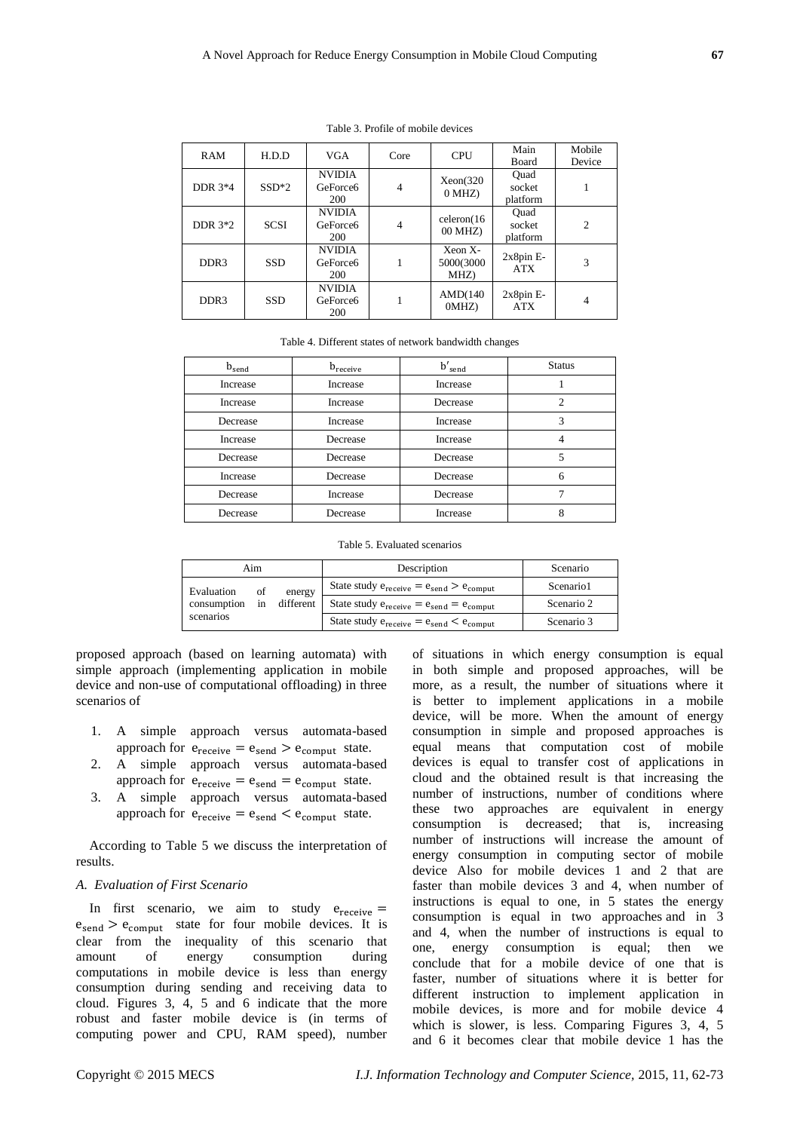| RAM       | H.D.D       | VGA                                                 | Core           | <b>CPU</b>                   | Main                       | Mobile         |
|-----------|-------------|-----------------------------------------------------|----------------|------------------------------|----------------------------|----------------|
|           |             |                                                     |                |                              | Board                      | Device         |
| DDR 3*4   | $SSD*2$     | <b>NVIDIA</b><br>GeForce <sub>6</sub><br>200        | $\overline{4}$ | Xeon(320)<br>$0$ MHZ $)$     | Ouad<br>socket<br>platform |                |
| DDR $3*2$ | <b>SCSI</b> | <b>NVIDIA</b><br>GeForce <sub>6</sub><br><b>200</b> | 4              | celeron(16)<br>00 MHZ)       | Ouad<br>socket<br>platform | $\overline{2}$ |
| DDR3      | <b>SSD</b>  | <b>NVIDIA</b><br>GeForce <sub>6</sub><br>200        |                | Xeon X-<br>5000(3000<br>MHZ) | $2x8pin E-$<br><b>ATX</b>  | 3              |
| DDR3      | <b>SSD</b>  | <b>NVIDIA</b><br>GeForce <sub>6</sub><br><b>200</b> |                | AMD(140)<br>0MHZ)            | $2x8pin E-$<br><b>ATX</b>  | 4              |

Table 3. Profile of mobile devices

#### Table 4. Different states of network bandwidth changes

| $b_{send}$ | $b_{\text{receive}}$ | $b'$ <sub>send</sub> | <b>Status</b> |
|------------|----------------------|----------------------|---------------|
| Increase   | Increase             | Increase             |               |
| Increase   | Increase             | Decrease             |               |
| Decrease   | Increase             | Increase             |               |
| Increase   | Decrease             | Increase             |               |
| Decrease   | Decrease             | Decrease             |               |
| Increase   | Decrease             | Decrease             | 6             |
| Decrease   | Increase             | Decrease             |               |
| Decrease   | Decrease             | Increase             |               |

#### Table 5. Evaluated scenarios

| Aim         |                 | Description                                                            | Scenario   |
|-------------|-----------------|------------------------------------------------------------------------|------------|
| Evaluation  | οf<br>energy    | State study $e_{\text{receive}} = e_{\text{send}} > e_{\text{comput}}$ | Scenario1  |
| consumption | in<br>different | State study $e_{\text{receive}} = e_{\text{send}} = e_{\text{comput}}$ | Scenario 2 |
| scenarios   |                 | State study $e_{\text{receive}} = e_{\text{send}} < e_{\text{comput}}$ | Scenario 3 |

proposed approach (based on learning automata) with simple approach (implementing application in mobile device and non-use of computational offloading) in three scenarios of

- 1. A simple approach versus automata-based approach for  $e_{\text{receive}} = e_{\text{send}} > e_{\text{comput}}$  state.
- 2. A simple approach versus automata-based approach for  $e_{\text{receive}} = e_{\text{send}} = e_{\text{comput}}$  state.
- 3. A simple approach versus automata-based approach for  $e_{\text{receive}} = e_{\text{send}} < e_{\text{comput}}$  state.

According to Table 5 we discuss the interpretation of results.

#### *A. Evaluation of First Scenario*

In first scenario, we aim to study  $e_{\text{receive}} =$  $e<sub>send</sub> > e<sub>comput</sub>$  state for four mobile devices. It is clear from the inequality of this scenario that amount of energy consumption during computations in mobile device is less than energy consumption during sending and receiving data to cloud. Figures 3, 4, 5 and 6 indicate that the more robust and faster mobile device is (in terms of computing power and CPU, RAM speed), number

of situations in which energy consumption is equal in both simple and proposed approaches, will be more, as a result, the number of situations where it is better to implement applications in a mobile device, will be more. When the amount of energy consumption in simple and proposed approaches is equal means that computation cost of mobile devices is equal to transfer cost of applications in cloud and the obtained result is that increasing the number of instructions, number of conditions where these two approaches are equivalent in energy consumption is decreased; that is, increasing number of instructions will increase the amount of energy consumption in computing sector of mobile device Also for mobile devices 1 and 2 that are faster than mobile devices 3 and 4, when number of instructions is equal to one, in 5 states the energy consumption is equal in two approaches and in 3 and 4, when the number of instructions is equal to one, energy consumption is equal; then we conclude that for a mobile device of one that is faster, number of situations where it is better for different instruction to implement application in mobile devices, is more and for mobile device 4 which is slower, is less. Comparing Figures 3, 4, 5 and 6 it becomes clear that mobile device 1 has the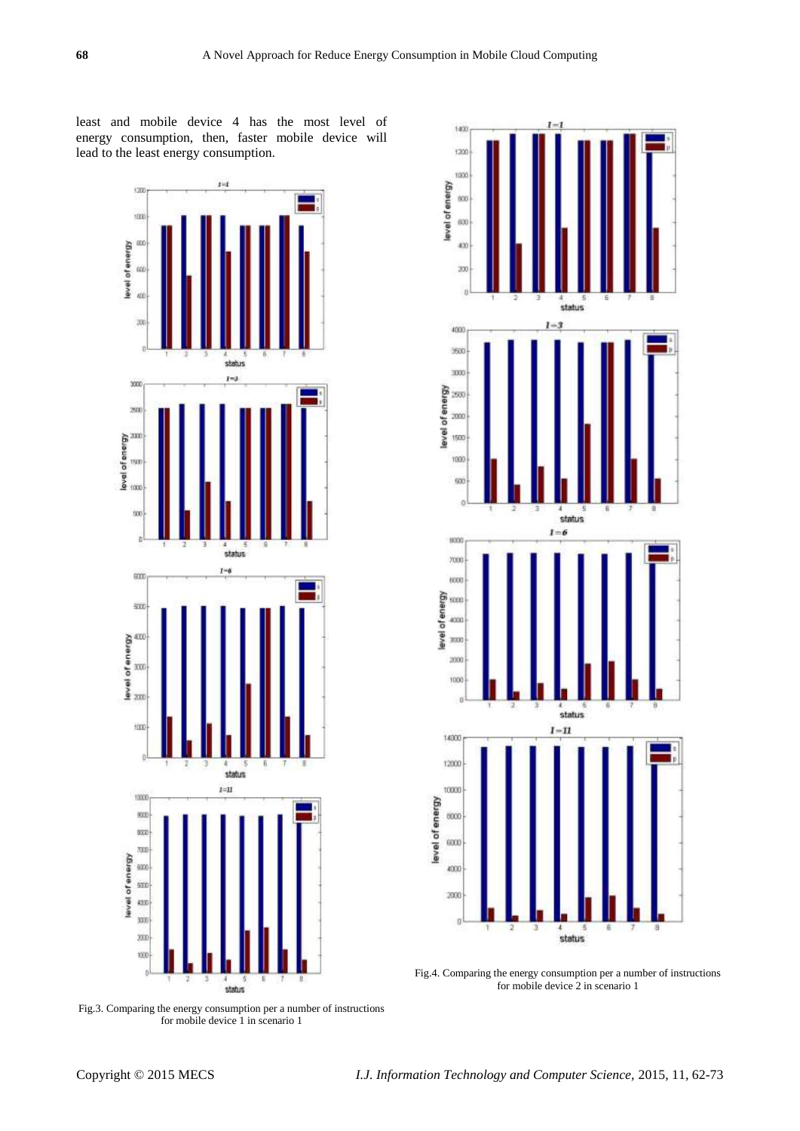least and mobile device 4 has the most level of energy consumption, then, faster mobile device will lead to the least energy consumption.



Fig.3. Comparing the energy consumption per a number of instructions for mobile device 1 in scenario 1



Fig.4. Comparing the energy consumption per a number of instructions for mobile device 2 in scenario 1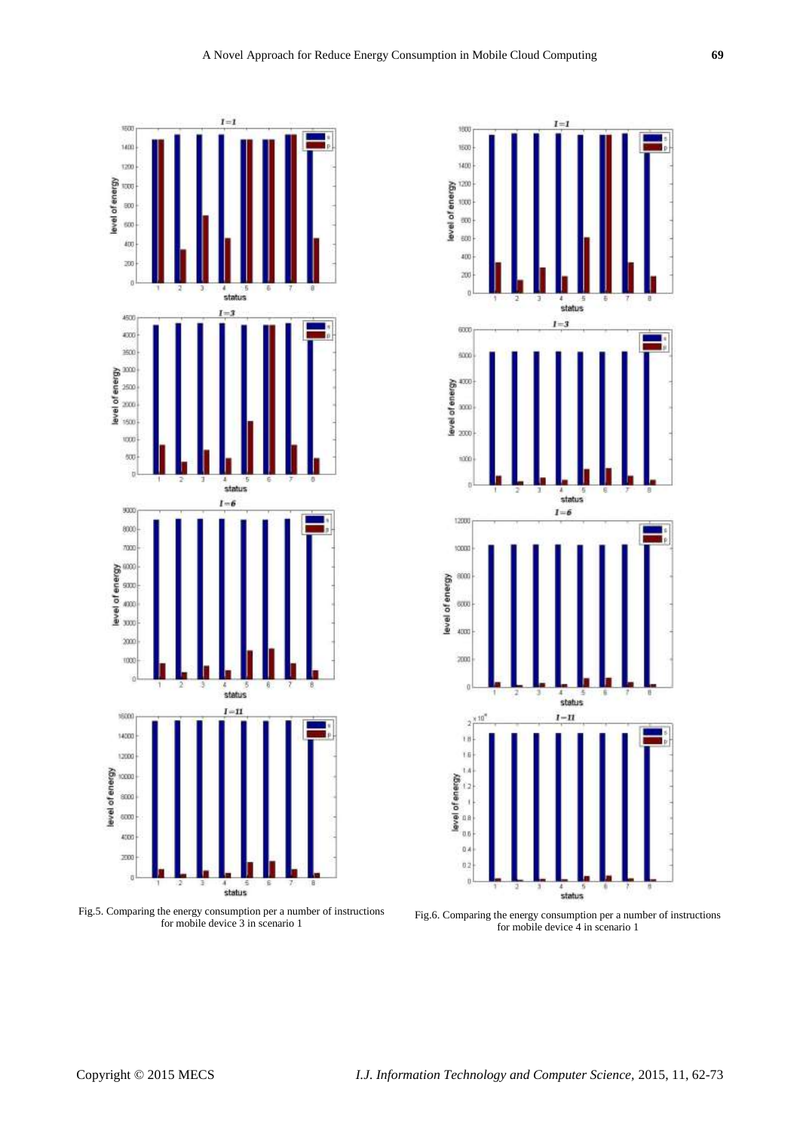

 $I=1$ ua 1400  $120$ level of energy tion 800 **BOX**  $400$  $\overline{30}$ ï status  $I=1$ 4500 400  $\frac{1}{200}$ laval of energy<br>35 SS SS<br>55 SS SS 1000 800  $\frac{4}{\text{status}}$  $1 - 6$  $\frac{1}{2000}$  $8000$  $m$  $\overline{\mathbf{m}}$  $1000$  $rac{3}{\text{status}}$  $I = II$ 16000 14000 12000 level of energy<br>8<br>8<br>8 4000 200 b  $\overline{4}$ 5 status

Fig.5. Comparing the energy consumption per a number of instructions for mobile device 3 in scenario 1



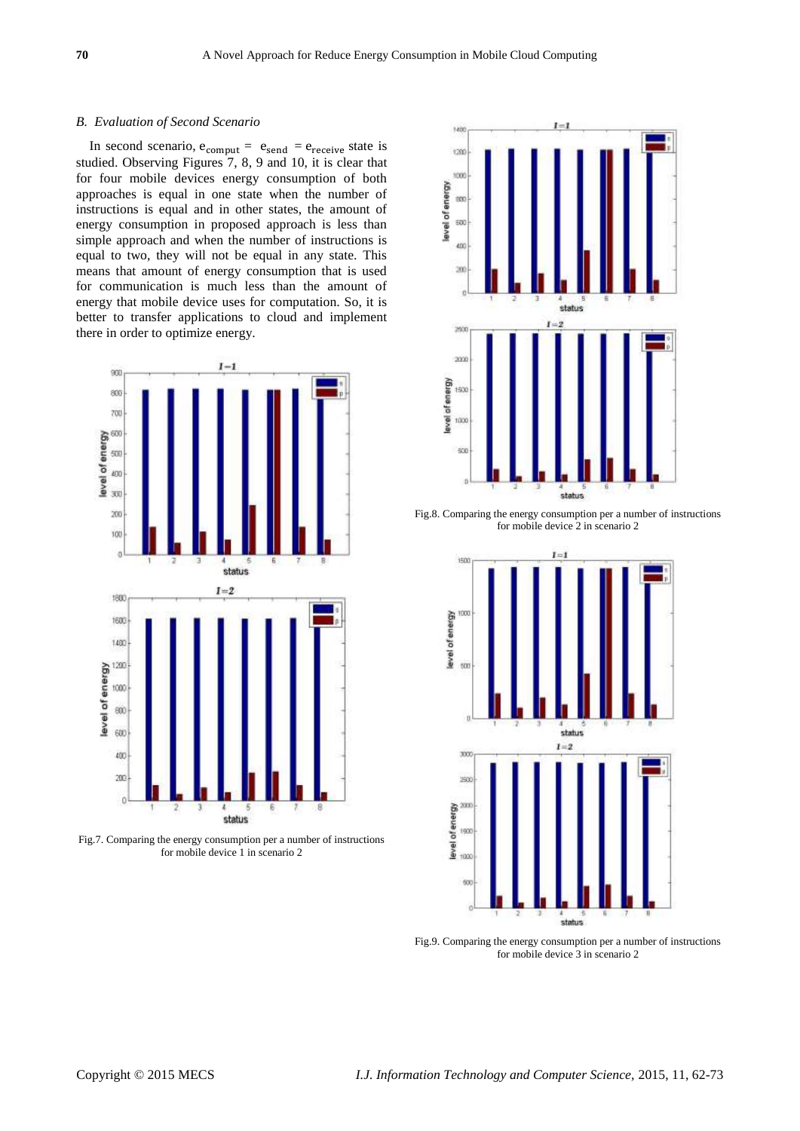## *B. Evaluation of Second Scenario*

In second scenario,  $e_{\text{comput}} = e_{\text{send}} = e_{\text{receive}}$  state is studied. Observing Figures 7, 8, 9 and 10, it is clear that for four mobile devices energy consumption of both approaches is equal in one state when the number of instructions is equal and in other states, the amount of energy consumption in proposed approach is less than simple approach and when the number of instructions is equal to two, they will not be equal in any state. This means that amount of energy consumption that is used for communication is much less than the amount of energy that mobile device uses for computation. So, it is better to transfer applications to cloud and implement there in order to optimize energy.



Fig.7. Comparing the energy consumption per a number of instructions for mobile device 1 in scenario 2



Fig.8. Comparing the energy consumption per a number of instructions for mobile device 2 in scenario 2



Fig.9. Comparing the energy consumption per a number of instructions for mobile device 3 in scenario 2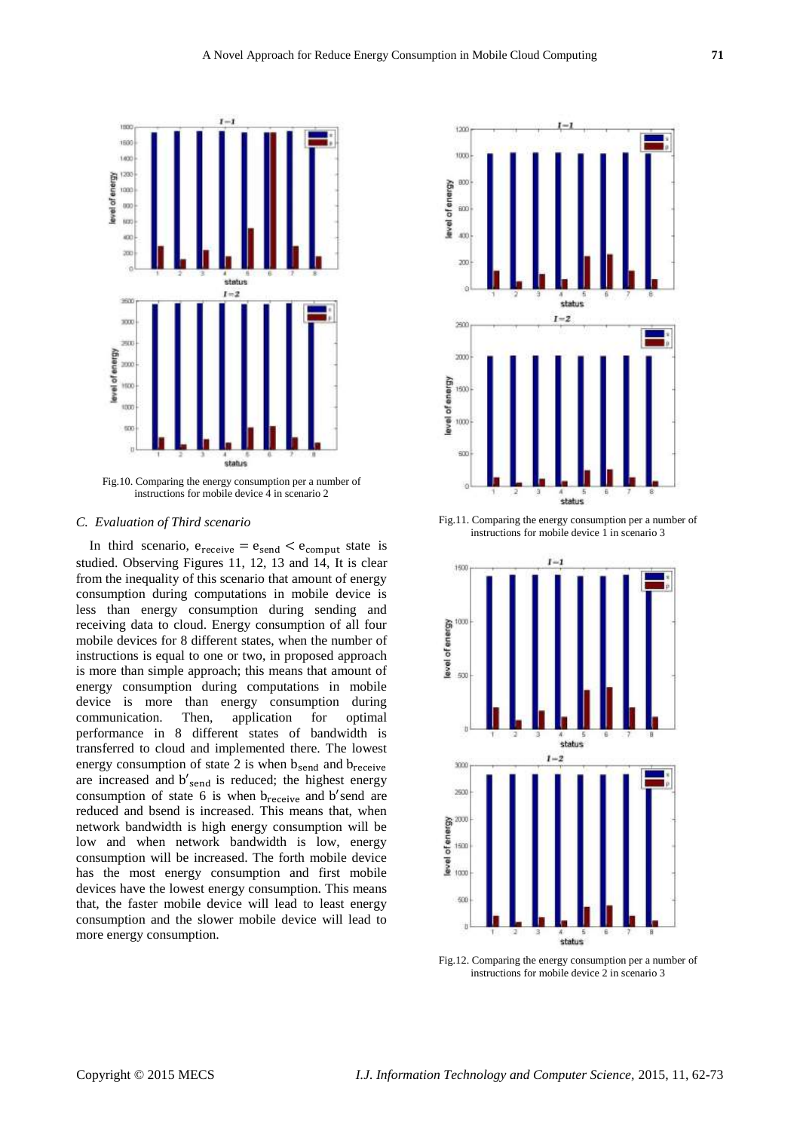

Fig.10. Comparing the energy consumption per a number of instructions for mobile device  $\overline{4}$  in scenario 2

## *C. Evaluation of Third scenario*

In third scenario,  $e_{\text{receive}} = e_{\text{send}} < e_{\text{comput}}$  state is studied. Observing Figures 11, 12, 13 and 14, It is clear from the inequality of this scenario that amount of energy consumption during computations in mobile device is less than energy consumption during sending and receiving data to cloud. Energy consumption of all four mobile devices for 8 different states, when the number of instructions is equal to one or two, in proposed approach is more than simple approach; this means that amount of energy consumption during computations in mobile device is more than energy consumption during communication. Then, application for optimal performance in 8 different states of bandwidth is transferred to cloud and implemented there. The lowest energy consumption of state 2 is when  $b_{send}$  and  $b_{receive}$ are increased and b'<sub>send</sub> is reduced; the highest energy consumption of state 6 is when  $b_{\text{receive}}$  and  $b'$  send are reduced and bsend is increased. This means that, when network bandwidth is high energy consumption will be low and when network bandwidth is low, energy consumption will be increased. The forth mobile device has the most energy consumption and first mobile devices have the lowest energy consumption. This means that, the faster mobile device will lead to least energy consumption and the slower mobile device will lead to more energy consumption.



Fig.11. Comparing the energy consumption per a number of instructions for mobile device  $\hat{1}$  in scenario 3



Fig.12. Comparing the energy consumption per a number of instructions for mobile device 2 in scenario 3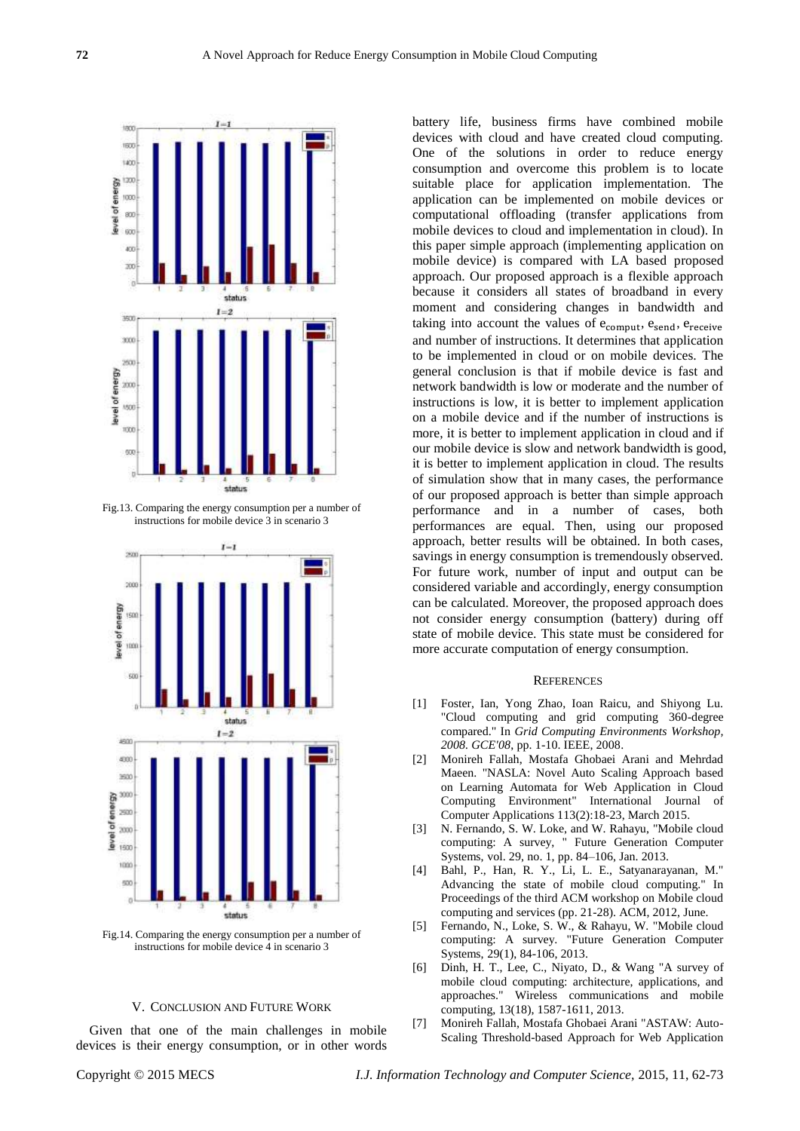

Fig.13. Comparing the energy consumption per a number of instructions for mobile device 3 in scenario 3



Fig.14. Comparing the energy consumption per a number of instructions for mobile device  $\overline{4}$  in scenario 3

## V. CONCLUSION AND FUTURE WORK

Given that one of the main challenges in mobile devices is their energy consumption, or in other words battery life, business firms have combined mobile devices with cloud and have created cloud computing. One of the solutions in order to reduce energy consumption and overcome this problem is to locate suitable place for application implementation. The application can be implemented on mobile devices or computational offloading (transfer applications from mobile devices to cloud and implementation in cloud). In this paper simple approach (implementing application on mobile device) is compared with LA based proposed approach. Our proposed approach is a flexible approach because it considers all states of broadband in every moment and considering changes in bandwidth and taking into account the values of  $e_{\text{comput}}$ ,  $e_{\text{send}}$ ,  $e_{\text{receive}}$ and number of instructions. It determines that application to be implemented in cloud or on mobile devices. The general conclusion is that if mobile device is fast and network bandwidth is low or moderate and the number of instructions is low, it is better to implement application on a mobile device and if the number of instructions is more, it is better to implement application in cloud and if our mobile device is slow and network bandwidth is good, it is better to implement application in cloud. The results of simulation show that in many cases, the performance of our proposed approach is better than simple approach performance and in a number of cases, both performances are equal. Then, using our proposed approach, better results will be obtained. In both cases, savings in energy consumption is tremendously observed. For future work, number of input and output can be considered variable and accordingly, energy consumption can be calculated. Moreover, the proposed approach does not consider energy consumption (battery) during off state of mobile device. This state must be considered for more accurate computation of energy consumption.

#### **REFERENCES**

- [1] Foster, Ian, Yong Zhao, Ioan Raicu, and Shiyong Lu. "Cloud computing and grid computing 360-degree compared." In *Grid Computing Environments Workshop, 2008. GCE'08*, pp. 1-10. IEEE, 2008.
- [2] Monireh Fallah, Mostafa Ghobaei Arani and Mehrdad Maeen. "NASLA: Novel Auto Scaling Approach based on Learning Automata for Web Application in Cloud Computing Environment" International Journal of Computer Applications 113(2):18-23, March 2015.
- [3] N. Fernando, S. W. Loke, and W. Rahayu, "Mobile cloud computing: A survey, " Future Generation Computer Systems, vol. 29, no. 1, pp. 84–106, Jan. 2013.
- [4] Bahl, P., Han, R. Y., Li, L. E., Satyanarayanan, M." Advancing the state of mobile cloud computing." In Proceedings of the third ACM workshop on Mobile cloud computing and services (pp. 21-28). ACM, 2012, June.
- [5] Fernando, N., Loke, S. W., & Rahayu, W. "Mobile cloud computing: A survey. "Future Generation Computer Systems, 29(1), 84-106, 2013.
- [6] Dinh, H. T., Lee, C., Niyato, D., & Wang "A survey of mobile cloud computing: architecture, applications, and approaches." Wireless communications and mobile computing, 13(18), 1587-1611, 2013.
- [7] Monireh Fallah, Mostafa Ghobaei Arani "ASTAW: Auto-Scaling Threshold-based Approach for Web Application